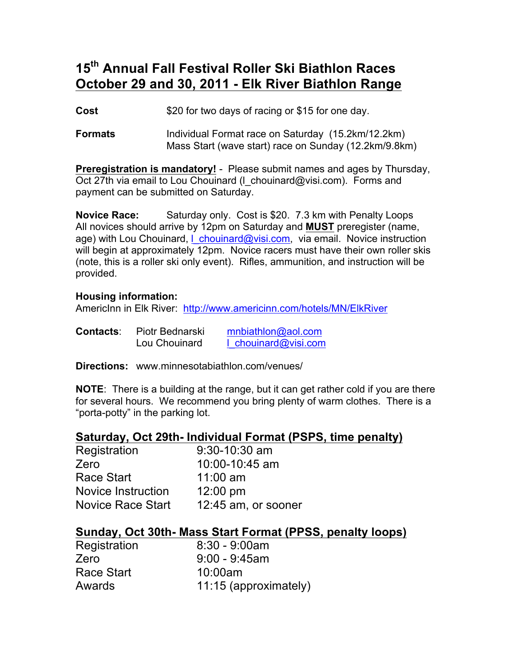## **15th Annual Fall Festival Roller Ski Biathlon Races October 29 and 30, 2011 - Elk River Biathlon Range**

**Cost** \$20 for two days of racing or \$15 for one day.

**Formats** Individual Format race on Saturday (15.2km/12.2km) Mass Start (wave start) race on Sunday (12.2km/9.8km)

**Preregistration is mandatory!** - Please submit names and ages by Thursday, Oct 27th via email to Lou Chouinard (I chouinard@visi.com). Forms and payment can be submitted on Saturday.

**Novice Race:** Saturday only. Cost is \$20. 7.3 km with Penalty Loops All novices should arrive by 12pm on Saturday and **MUST** preregister (name, age) with Lou Chouinard, I chouinard@visi.com, via email. Novice instruction will begin at approximately 12pm. Novice racers must have their own roller skis (note, this is a roller ski only event). Rifles, ammunition, and instruction will be provided.

### **Housing information:**

AmericInn in Elk River: http://www.americinn.com/hotels/MN/ElkRiver

| <b>Contacts:</b> | Piotr Bednarski | mnbiathlon@aol.com   |
|------------------|-----------------|----------------------|
|                  | Lou Chouinard   | 1 chouinard@visi.com |

**Directions:** www.minnesotabiathlon.com/venues/

**NOTE**: There is a building at the range, but it can get rather cold if you are there for several hours. We recommend you bring plenty of warm clothes. There is a "porta-potty" in the parking lot.

### **Saturday, Oct 29th- Individual Format (PSPS, time penalty)**

| Registration              | $9:30-10:30$ am     |
|---------------------------|---------------------|
| Zero                      | 10:00-10:45 am      |
| Race Start                | $11:00$ am          |
| <b>Novice Instruction</b> | 12:00 pm            |
| <b>Novice Race Start</b>  | 12:45 am, or sooner |

### **Sunday, Oct 30th- Mass Start Format (PPSS, penalty loops)**

| Registration | $8:30 - 9:00am$       |
|--------------|-----------------------|
| Zero         | $9:00 - 9:45$ am      |
| Race Start   | 10:00am               |
| Awards       | 11:15 (approximately) |